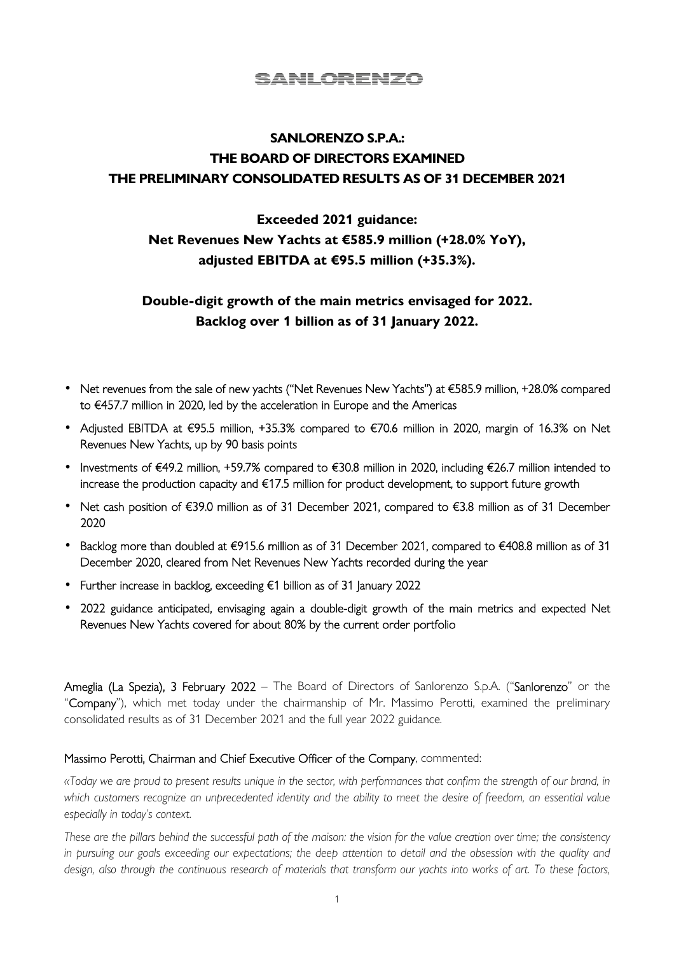## SANLORENZO

# **SANLORENZO S.P.A.: THE BOARD OF DIRECTORS EXAMINED THE PRELIMINARY CONSOLIDATED RESULTS AS OF 31 DECEMBER 2021**

# **Exceeded 2021 guidance: Net Revenues New Yachts at €585.9 million (+28.0% YoY), adjusted EBITDA at €95.5 million (+35.3%).**

## **Double-digit growth of the main metrics envisaged for 2022. Backlog over 1 billion as of 31 January 2022.**

- Net revenues from the sale of new yachts ("Net Revenues New Yachts") at €585.9 million, +28.0% compared to €457.7 million in 2020, led by the acceleration in Europe and the Americas
- Adjusted EBITDA at €95.5 million, +35.3% compared to €70.6 million in 2020, margin of 16.3% on Net Revenues New Yachts, up by 90 basis points
- Investments of €49.2 million, +59.7% compared to €30.8 million in 2020, including €26.7 million intended to increase the production capacity and €17.5 million for product development, to support future growth
- Net cash position of €39.0 million as of 31 December 2021, compared to €3.8 million as of 31 December 2020
- Backlog more than doubled at €915.6 million as of 31 December 2021, compared to €408.8 million as of 31 December 2020, cleared from Net Revenues New Yachts recorded during the year
- Further increase in backlog, exceeding €1 billion as of 31 January 2022
- 2022 guidance anticipated, envisaging again a double-digit growth of the main metrics and expected Net Revenues New Yachts covered for about 80% by the current order portfolio

Ameglia (La Spezia), 3 February 2022 – The Board of Directors of Sanlorenzo S.p.A. ("Sanlorenzo" or the "Company"), which met today under the chairmanship of Mr. Massimo Perotti, examined the preliminary consolidated results as of 31 December 2021 and the full year 2022 guidance.

#### Massimo Perotti, Chairman and Chief Executive Officer of the Company, commented:

*«Today we are proud to present results unique in the sector, with performances that confirm the strength of our brand, in which customers recognize an unprecedented identity and the ability to meet the desire of freedom, an essential value especially in today's context.* 

*These are the pillars behind the successful path of the maison: the vision for the value creation over time; the consistency in pursuing our goals exceeding our expectations; the deep attention to detail and the obsession with the quality and design, also through the continuous research of materials that transform our yachts into works of art. To these factors,*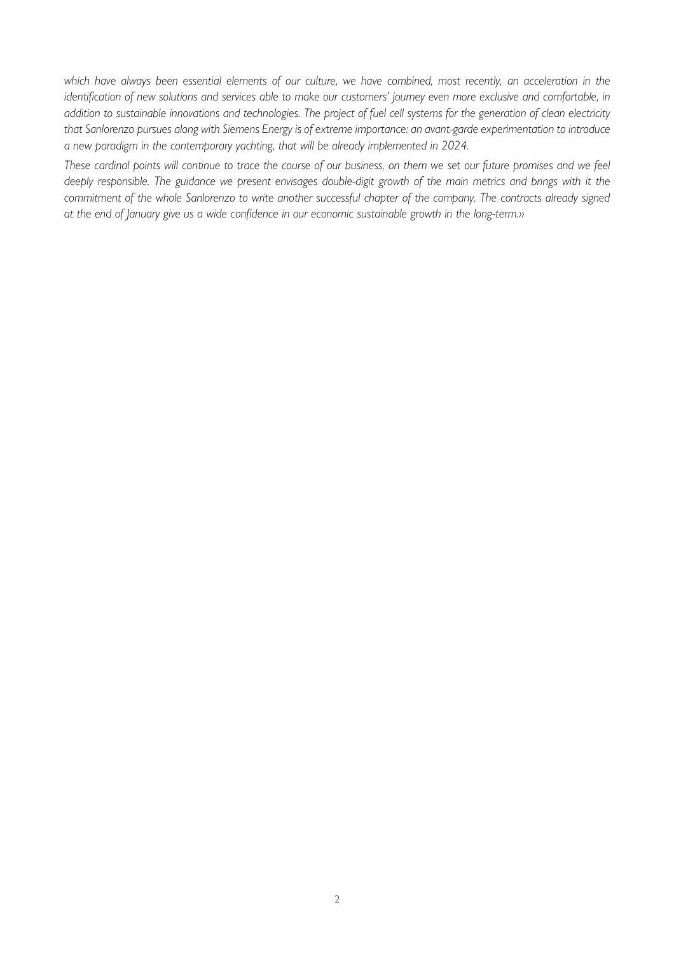*which have always been essential elements of our culture, we have combined, most recently, an acceleration in the identification of new solutions and services able to make our customers' journey even more exclusive and comfortable, in addition to sustainable innovations and technologies. The project of fuel cell systems for the generation of clean electricity that Sanlorenzo pursues along with Siemens Energy is of extreme importance: an avant-garde experimentation to introduce a new paradigm in the contemporary yachting, that will be already implemented in 2024.* 

*These cardinal points will continue to trace the course of our business, on them we set our future promises and we feel deeply responsible. The guidance we present envisages double-digit growth of the main metrics and brings with it the commitment of the whole Sanlorenzo to write another successful chapter of the company. The contracts already signed at the end of January give us a wide confidence in our economic sustainable growth in the long-term.»*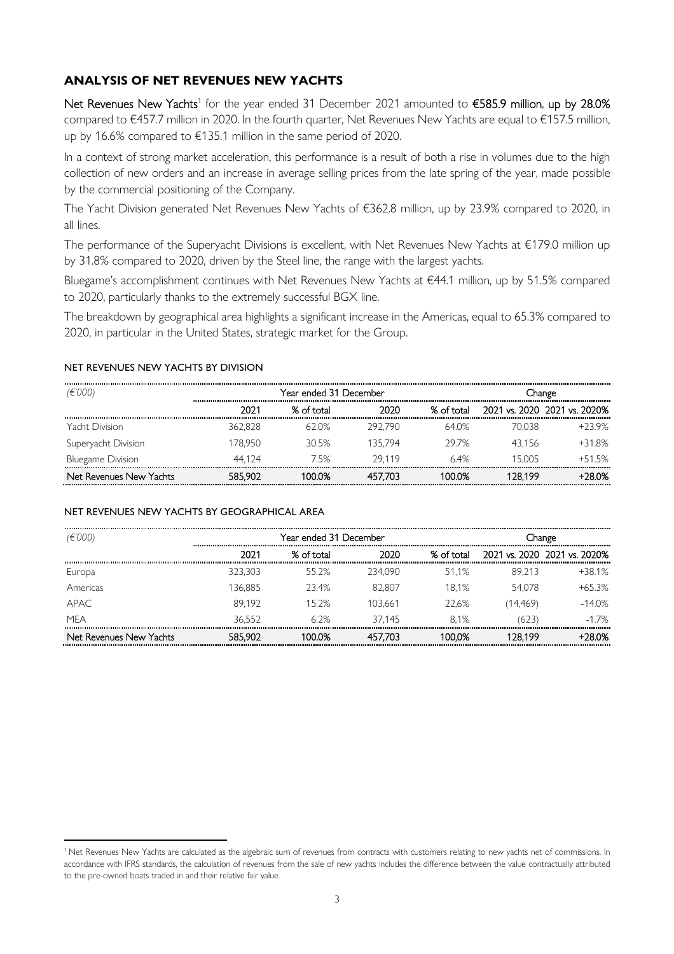### **ANALYSIS OF NET REVENUES NEW YACHTS**

Net Revenues New Yachts<sup>1</sup> for the year ended 31 December 2021 amounted to  $\epsilon$ 585.9 million, up by 28.0% compared to €457.7 million in 2020. In the fourth quarter, Net Revenues New Yachts are equal to €157.5 million, up by 16.6% compared to €135.1 million in the same period of 2020.

In a context of strong market acceleration, this performance is a result of both a rise in volumes due to the high collection of new orders and an increase in average selling prices from the late spring of the year, made possible by the commercial positioning of the Company.

The Yacht Division generated Net Revenues New Yachts of €362.8 million, up by 23.9% compared to 2020, in all lines.

The performance of the Superyacht Divisions is excellent, with Net Revenues New Yachts at €179.0 million up by 31.8% compared to 2020, driven by the Steel line, the range with the largest yachts.

Bluegame's accomplishment continues with Net Revenues New Yachts at €44.1 million, up by 51.5% compared to 2020, particularly thanks to the extremely successful BGX line.

The breakdown by geographical area highlights a significant increase in the Americas, equal to 65.3% compared to 2020, in particular in the United States, strategic market for the Group.

#### NET REVENUES NEW YACHTS BY DIVISION

| (E'000)                  | Year ended 31 December |            |         |            | Change<br> |                              |  |
|--------------------------|------------------------|------------|---------|------------|------------|------------------------------|--|
|                          | 2021                   | % of total | 2020    | % of total |            | 2021 vs. 2020 2021 vs. 2020% |  |
| Yacht Division           | 362.828                | 62.0%      | 292.790 | 64.0%      | 70.038     | $+23.9%$                     |  |
| Superyacht Division      | 178.950                | 30.5%      | 135.794 | 29.7%      | 43.156     | $+31.8%$                     |  |
| <b>Bluegame Division</b> | 44.124                 | 75%        | 29119   | 6.4%       | 15.005     | $+51.5%$                     |  |
| Net Revenues New Yachts  | 585.902                | 100.0%     | 457.703 | 100.0%     | 128.199    | $+28.0%$                     |  |

#### NET REVENUES NEW YACHTS BY GEOGRAPHICAL AREA

| (€'000)                 | Year ended 31 December |            |          | .hange     |         |                                  |
|-------------------------|------------------------|------------|----------|------------|---------|----------------------------------|
|                         |                        | . ot total | 2020<br> | . ∩t t∩tal |         | 2021 vs. 2020 2021 vs. 2020%<br> |
| Europa                  | 323.303                | 55.2%      | 234.090  | 51.1%      | 89.213  | $+38.1%$                         |
| Americas                | 36.885                 | 23.4%      | 82.807   | 18.1%      | 54.078  | $+65.3%$                         |
| APAC.                   | 89.192                 | 15.2%      | 103.661  | 22.6%      | 14.469) | $-14.0%$                         |
| MFA                     | 36.552                 | 6.2%       | 37145    | 81%        | 623     | $-1.7%$                          |
| Net Revenues New Yachts | 585.902                | ന%         |          | 00.0%      | 28 199  | : በ%                             |

<sup>&</sup>lt;sup>1</sup> Net Revenues New Yachts are calculated as the algebraic sum of revenues from contracts with customers relating to new yachts net of commissions. In accordance with IFRS standards, the calculation of revenues from the sale of new yachts includes the difference between the value contractually attributed to the pre-owned boats traded in and their relative fair value.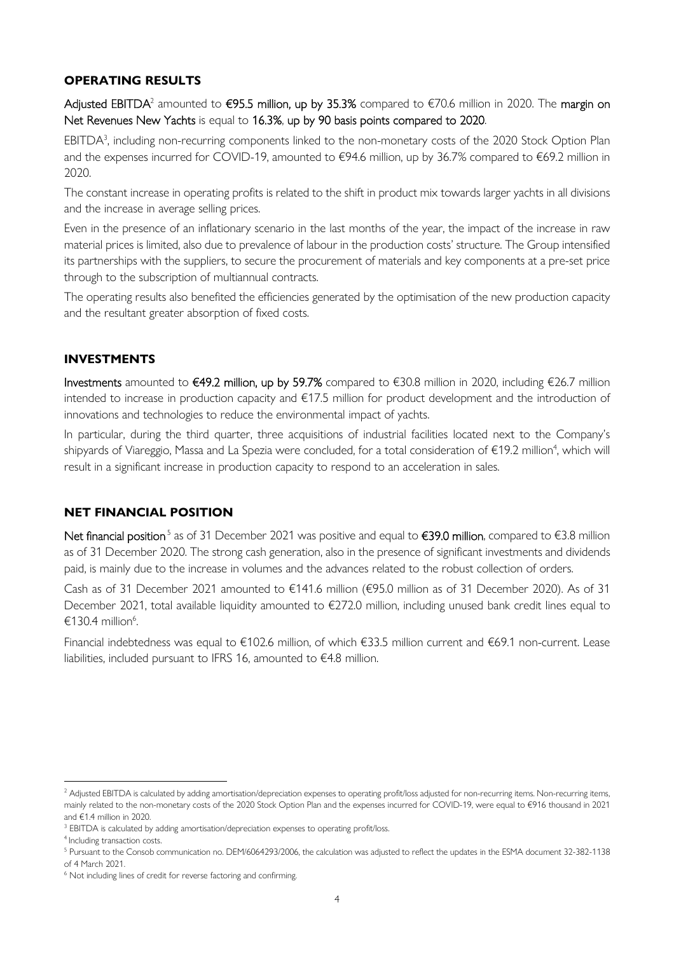## **OPERATING RESULTS**

**Adjusted EBITDA**<sup>2</sup> amounted to **€95.5 million, up by 35.3%** compared to €70.6 million in 2020. The **margin on** Net Revenues New Yachts is equal to 16.3%, up by 90 basis points compared to 2020.

 $EBITDA<sup>3</sup>$ , including non-recurring components linked to the non-monetary costs of the 2020 Stock Option Plan and the expenses incurred for COVID-19, amounted to €94.6 million, up by 36.7% compared to €69.2 million in 2020.

The constant increase in operating profits is related to the shift in product mix towards larger yachts in all divisions and the increase in average selling prices.

Even in the presence of an inflationary scenario in the last months of the year, the impact of the increase in raw material prices is limited, also due to prevalence of labour in the production costs' structure. The Group intensified its partnerships with the suppliers, to secure the procurement of materials and key components at a pre-set price through to the subscription of multiannual contracts.

The operating results also benefited the efficiencies generated by the optimisation of the new production capacity and the resultant greater absorption of fixed costs.

## **INVESTMENTS**

Investments amounted to €49.2 million, up by 59.7% compared to €30.8 million in 2020, including €26.7 million intended to increase in production capacity and €17.5 million for product development and the introduction of innovations and technologies to reduce the environmental impact of yachts.

In particular, during the third quarter, three acquisitions of industrial facilities located next to the Company's shipyards of Viareggio, Massa and La Spezia were concluded, for a total consideration of €19.2 million<sup>4</sup>, which will result in a significant increase in production capacity to respond to an acceleration in sales.

## **NET FINANCIAL POSITION**

Net financial position<sup>5</sup> as of 31 December 2021 was positive and equal to €39.0 million, compared to €3.8 million as of 31 December 2020. The strong cash generation, also in the presence of significant investments and dividends paid, is mainly due to the increase in volumes and the advances related to the robust collection of orders.

Cash as of 31 December 2021 amounted to €141.6 million (€95.0 million as of 31 December 2020). As of 31 December 2021, total available liquidity amounted to €272.0 million, including unused bank credit lines equal to  $€130.4$  million<sup>6</sup>.

Financial indebtedness was equal to €102.6 million, of which €33.5 million current and €69.1 non-current. Lease liabilities, included pursuant to IFRS 16, amounted to €4.8 million.

<sup>&</sup>lt;sup>2</sup> Adjusted EBITDA is calculated by adding amortisation/depreciation expenses to operating profit/loss adjusted for non-recurring items. Non-recurring items, mainly related to the non-monetary costs of the 2020 Stock Option Plan and the expenses incurred for COVID-19, were equal to €916 thousand in 2021 and €1.4 million in 2020.

<sup>&</sup>lt;sup>3</sup> EBITDA is calculated by adding amortisation/depreciation expenses to operating profit/loss.

<sup>&</sup>lt;sup>4</sup> Including transaction costs.

<sup>&</sup>lt;sup>5</sup> Pursuant to the Consob communication no. DEM/6064293/2006, the calculation was adjusted to reflect the updates in the ESMA document 32-382-1138 of 4 March 2021.

<sup>&</sup>lt;sup>6</sup> Not including lines of credit for reverse factoring and confirming.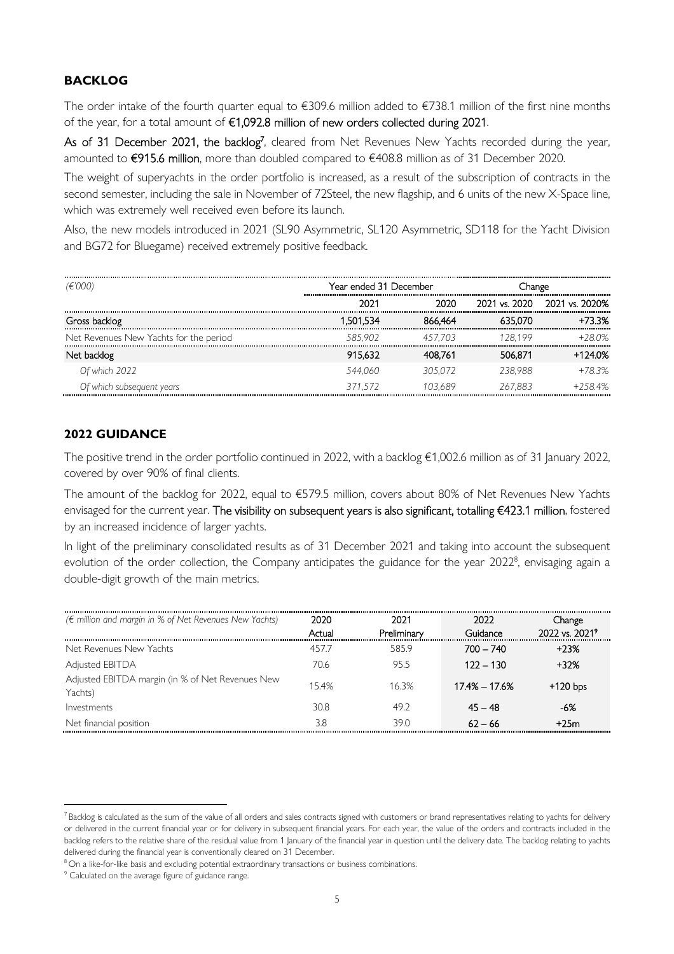### **BACKLOG**

The order intake of the fourth quarter equal to €309.6 million added to €738.1 million of the first nine months of the year, for a total amount of €1,092.8 million of new orders collected during 2021.

As of 31 December 2021, the backlog<sup>7</sup>, cleared from Net Revenues New Yachts recorded during the year, amounted to €915.6 million, more than doubled compared to €408.8 million as of 31 December 2020.

The weight of superyachts in the order portfolio is increased, as a result of the subscription of contracts in the second semester, including the sale in November of 72Steel, the new flagship, and 6 units of the new X-Space line, which was extremely well received even before its launch.

Also, the new models introduced in 2021 (SL90 Asymmetric, SL120 Asymmetric, SD118 for the Yacht Division and BG72 for Bluegame) received extremely positive feedback.

| (€'000)                                | Year ended 31 December |         | hange         |                |
|----------------------------------------|------------------------|---------|---------------|----------------|
|                                        | 2021                   |         | 2021 vs. 2020 | 2021 vs. 2020% |
| Gross backlog                          | 1.501.534              | 66.464  |               | +73.3%         |
| Net Revenues New Yachts for the period | 585.902                | 7 703   | 128 199       | 28.0%          |
| Net backlog                            | 915.632                | 408.761 | 506.871       | $+1240%$       |
| Of which 2022                          | 544.060                | 305 072 | 238.988       | $+78.3%$       |
| Of which subsequent years              | 371 572                | 103.689 | 267.883       | $+2584%$       |

### **2022 GUIDANCE**

The positive trend in the order portfolio continued in 2022, with a backlog €1,002.6 million as of 31 January 2022, covered by over 90% of final clients.

The amount of the backlog for 2022, equal to €579.5 million, covers about 80% of Net Revenues New Yachts envisaged for the current year. The visibility on subsequent years is also significant, totalling €423.1 million, fostered by an increased incidence of larger yachts.

In light of the preliminary consolidated results as of 31 December 2021 and taking into account the subsequent evolution of the order collection, the Company anticipates the guidance for the year 2022<sup>8</sup>, envisaging again a double-digit growth of the main metrics.

| $(\epsilon$ million and margin in % of Net Revenues New Yachts) | 2020<br>Actual | 2021<br>Preliminary | 2022<br>Guidance | Change<br>2022 vs. 2021 <sup>9</sup> |
|-----------------------------------------------------------------|----------------|---------------------|------------------|--------------------------------------|
| Net Revenues New Yachts                                         | 4577           | 585.9               | $700 - 740$      | $+23%$                               |
| Adjusted EBITDA                                                 | 70.6           | 95.5                | 122 – 130        | $+32%$                               |
| Adjusted EBITDA margin (in % of Net Revenues New<br>Yachts)     | 15.4%          | 16.3%               | 17.4% – 17.6%    | $+120$ bps                           |
| Investments                                                     | 30.8           | 49.2                | $45 - 48$        | -6%                                  |
| Net financial position                                          | 3.8            | 39.0                | $62 - 66$        | +25m                                 |

 $7$ Backlog is calculated as the sum of the value of all orders and sales contracts signed with customers or brand representatives relating to yachts for delivery or delivered in the current financial year or for delivery in subsequent financial years. For each year, the value of the orders and contracts included in the backlog refers to the relative share of the residual value from 1 January of the financial year in question until the delivery date. The backlog relating to yachts delivered during the financial year is conventionally cleared on 31 December.

<sup>&</sup>lt;sup>8</sup> On a like-for-like basis and excluding potential extraordinary transactions or business combinations.

<sup>&</sup>lt;sup>9</sup> Calculated on the average figure of guidance range.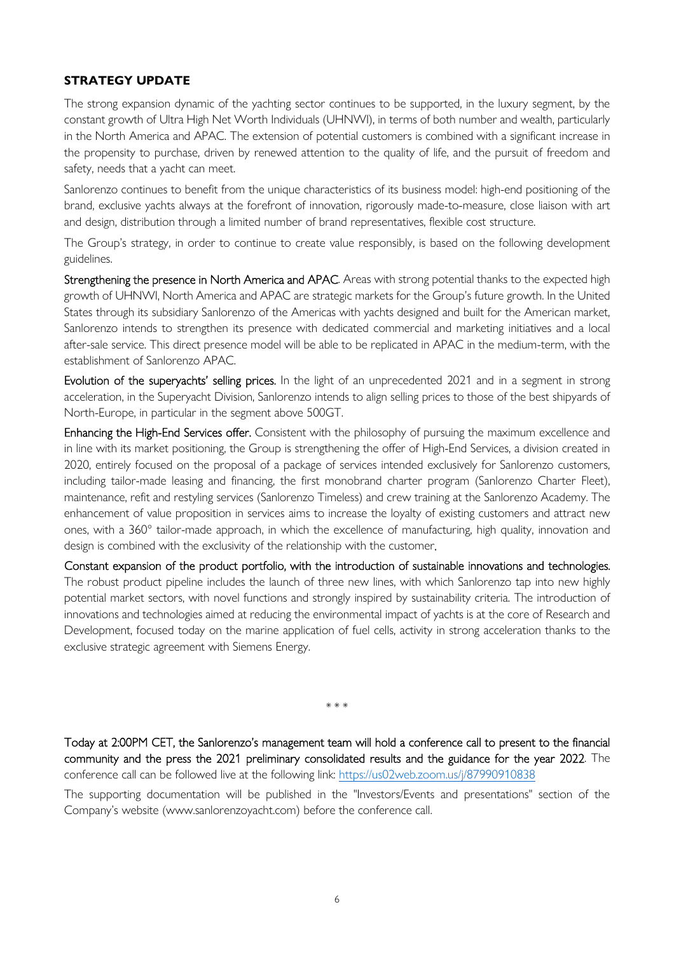## **STRATEGY UPDATE**

The strong expansion dynamic of the yachting sector continues to be supported, in the luxury segment, by the constant growth of Ultra High Net Worth Individuals (UHNWI), in terms of both number and wealth, particularly in the North America and APAC. The extension of potential customers is combined with a significant increase in the propensity to purchase, driven by renewed attention to the quality of life, and the pursuit of freedom and safety, needs that a yacht can meet.

Sanlorenzo continues to benefit from the unique characteristics of its business model: high-end positioning of the brand, exclusive yachts always at the forefront of innovation, rigorously made-to-measure, close liaison with art and design, distribution through a limited number of brand representatives, flexible cost structure.

The Group's strategy, in order to continue to create value responsibly, is based on the following development guidelines.

Strengthening the presence in North America and APAC. Areas with strong potential thanks to the expected high growth of UHNWI, North America and APAC are strategic markets for the Group's future growth. In the United States through its subsidiary Sanlorenzo of the Americas with yachts designed and built for the American market, Sanlorenzo intends to strengthen its presence with dedicated commercial and marketing initiatives and a local after-sale service. This direct presence model will be able to be replicated in APAC in the medium-term, with the establishment of Sanlorenzo APAC.

Evolution of the superyachts' selling prices. In the light of an unprecedented 2021 and in a segment in strong acceleration, in the Superyacht Division, Sanlorenzo intends to align selling prices to those of the best shipyards of North-Europe, in particular in the segment above 500GT.

Enhancing the High-End Services offer. Consistent with the philosophy of pursuing the maximum excellence and in line with its market positioning, the Group is strengthening the offer of High-End Services, a division created in 2020, entirely focused on the proposal of a package of services intended exclusively for Sanlorenzo customers, including tailor-made leasing and financing, the first monobrand charter program (Sanlorenzo Charter Fleet), maintenance, refit and restyling services (Sanlorenzo Timeless) and crew training at the Sanlorenzo Academy. The enhancement of value proposition in services aims to increase the loyalty of existing customers and attract new ones, with a 360° tailor-made approach, in which the excellence of manufacturing, high quality, innovation and design is combined with the exclusivity of the relationship with the customer.

Constant expansion of the product portfolio, with the introduction of sustainable innovations and technologies. The robust product pipeline includes the launch of three new lines, with which Sanlorenzo tap into new highly potential market sectors, with novel functions and strongly inspired by sustainability criteria. The introduction of innovations and technologies aimed at reducing the environmental impact of yachts is at the core of Research and Development, focused today on the marine application of fuel cells, activity in strong acceleration thanks to the exclusive strategic agreement with Siemens Energy.

\* \* \*

Today at 2:00PM CET, the Sanlorenzo's management team will hold a conference call to present to the financial community and the press the 2021 preliminary consolidated results and the guidance for the year 2022. The conference call can be followed live at the following link: https://us02web.zoom.us/j/87990910838

The supporting documentation will be published in the "Investors/Events and presentations" section of the Company's website (www.sanlorenzoyacht.com) before the conference call.